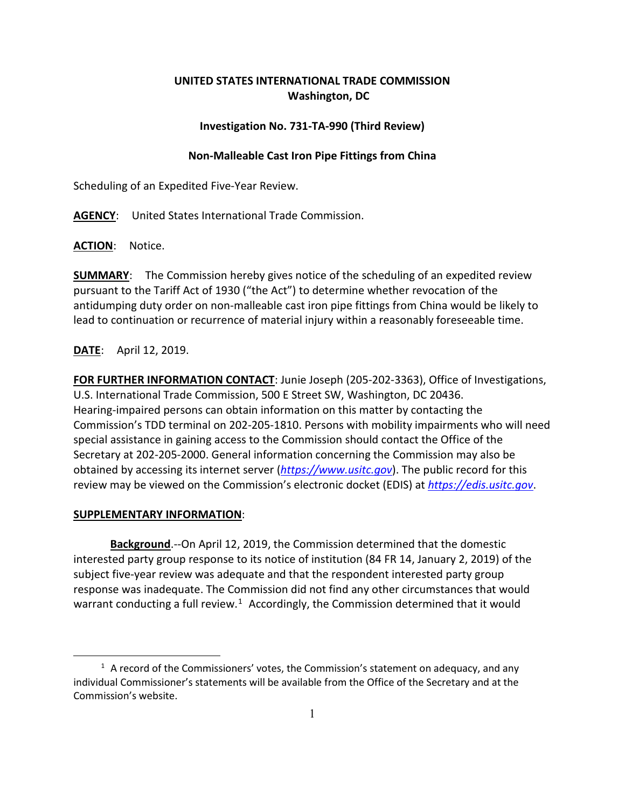# **UNITED STATES INTERNATIONAL TRADE COMMISSION Washington, DC**

### **Investigation No. 731-TA-990 (Third Review)**

### **Non-Malleable Cast Iron Pipe Fittings from China**

Scheduling of an Expedited Five-Year Review.

**AGENCY**: United States International Trade Commission.

**ACTION**: Notice.

**SUMMARY**: The Commission hereby gives notice of the scheduling of an expedited review pursuant to the Tariff Act of 1930 ("the Act") to determine whether revocation of the antidumping duty order on non-malleable cast iron pipe fittings from China would be likely to lead to continuation or recurrence of material injury within a reasonably foreseeable time.

## **DATE**: April 12, 2019.

**FOR FURTHER INFORMATION CONTACT**: Junie Joseph (205-202-3363), Office of Investigations, U.S. International Trade Commission, 500 E Street SW, Washington, DC 20436. Hearing-impaired persons can obtain information on this matter by contacting the Commission's TDD terminal on 202-205-1810. Persons with mobility impairments who will need special assistance in gaining access to the Commission should contact the Office of the Secretary at 202-205-2000. General information concerning the Commission may also be obtained by accessing its internet server (*[https://www.usitc.gov](https://www.usitc.gov/)*). The public record for this review may be viewed on the Commission's electronic docket (EDIS) at *[https://edis.usitc.gov](https://edis.usitc.gov/)*.

#### **SUPPLEMENTARY INFORMATION**:

 $\overline{a}$ 

**Background**.--On April 12, 2019, the Commission determined that the domestic interested party group response to its notice of institution (84 FR 14, January 2, 2019) of the subject five-year review was adequate and that the respondent interested party group response was inadequate. The Commission did not find any other circumstances that would warrant conducting a full review.<sup>[1](#page-0-0)</sup> Accordingly, the Commission determined that it would

<span id="page-0-0"></span> $<sup>1</sup>$  A record of the Commissioners' votes, the Commission's statement on adequacy, and any</sup> individual Commissioner's statements will be available from the Office of the Secretary and at the Commission's website.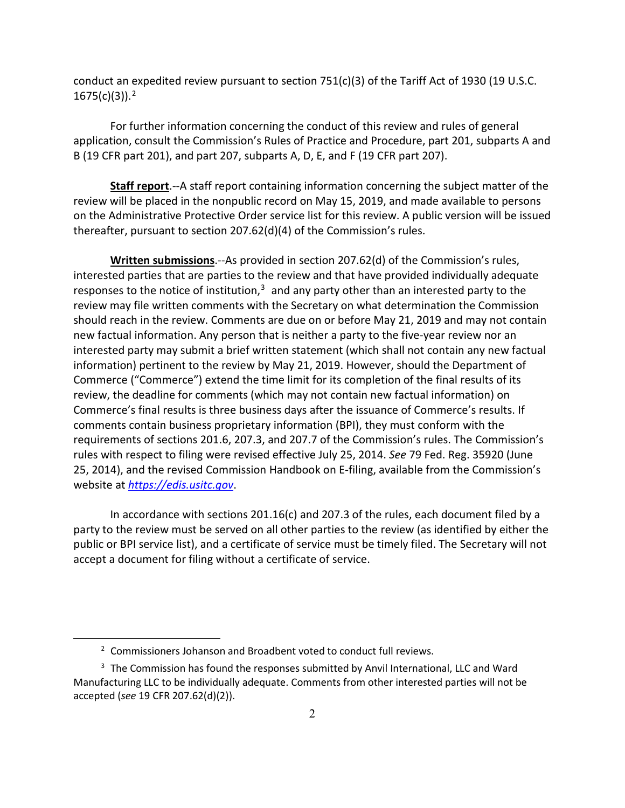conduct an expedited review pursuant to section  $751(c)(3)$  of the Tariff Act of 1930 (19 U.S.C. 1675(c)(3)). [2](#page-1-0)

For further information concerning the conduct of this review and rules of general application, consult the Commission's Rules of Practice and Procedure, part 201, subparts A and B (19 CFR part 201), and part 207, subparts A, D, E, and F (19 CFR part 207).

**Staff report**.--A staff report containing information concerning the subject matter of the review will be placed in the nonpublic record on May 15, 2019, and made available to persons on the Administrative Protective Order service list for this review. A public version will be issued thereafter, pursuant to section 207.62(d)(4) of the Commission's rules.

**Written submissions**.--As provided in section 207.62(d) of the Commission's rules, interested parties that are parties to the review and that have provided individually adequate responses to the notice of institution, $3$  and any party other than an interested party to the review may file written comments with the Secretary on what determination the Commission should reach in the review. Comments are due on or before May 21, 2019 and may not contain new factual information. Any person that is neither a party to the five-year review nor an interested party may submit a brief written statement (which shall not contain any new factual information) pertinent to the review by May 21, 2019. However, should the Department of Commerce ("Commerce") extend the time limit for its completion of the final results of its review, the deadline for comments (which may not contain new factual information) on Commerce's final results is three business days after the issuance of Commerce's results. If comments contain business proprietary information (BPI), they must conform with the requirements of sections 201.6, 207.3, and 207.7 of the Commission's rules. The Commission's rules with respect to filing were revised effective July 25, 2014. *See* 79 Fed. Reg. 35920 (June 25, 2014), and the revised Commission Handbook on E-filing, available from the Commission's website at *[https://edis.usitc.gov](https://edis.usitc.gov/)*.

In accordance with sections 201.16(c) and 207.3 of the rules, each document filed by a party to the review must be served on all other parties to the review (as identified by either the public or BPI service list), and a certificate of service must be timely filed. The Secretary will not accept a document for filing without a certificate of service.

 $\overline{a}$ 

<sup>&</sup>lt;sup>2</sup> Commissioners Johanson and Broadbent voted to conduct full reviews.

<span id="page-1-1"></span><span id="page-1-0"></span><sup>&</sup>lt;sup>3</sup> The Commission has found the responses submitted by Anvil International, LLC and Ward Manufacturing LLC to be individually adequate. Comments from other interested parties will not be accepted (*see* 19 CFR 207.62(d)(2)).